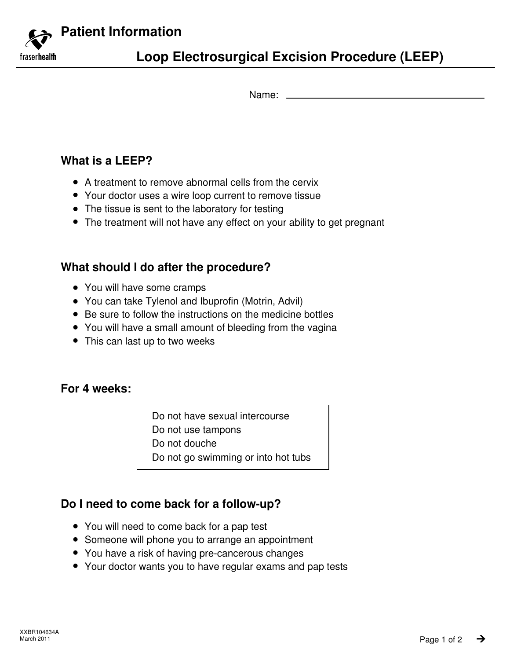**Patient Information**

fraser**health** 

# **Loop Electrosurgical Excision Procedure (LEEP)**

Name:

### **What is a LEEP?**

- A treatment to remove abnormal cells from the cervix
- Your doctor uses a wire loop current to remove tissue
- The tissue is sent to the laboratory for testing
- The treatment will not have any effect on your ability to get pregnant

### **What should I do after the procedure?**

- You will have some cramps
- You can take Tylenol and Ibuprofin (Motrin, Advil)
- Be sure to follow the instructions on the medicine bottles
- You will have a small amount of bleeding from the vagina
- This can last up to two weeks

#### **For 4 weeks:**

Do not have sexual intercourse Do not use tampons

Do not douche

Do not go swimming or into hot tubs

### **Do I need to come back for a follow-up?**

- You will need to come back for a pap test
- Someone will phone you to arrange an appointment
- You have a risk of having pre-cancerous changes
- Your doctor wants you to have regular exams and pap tests